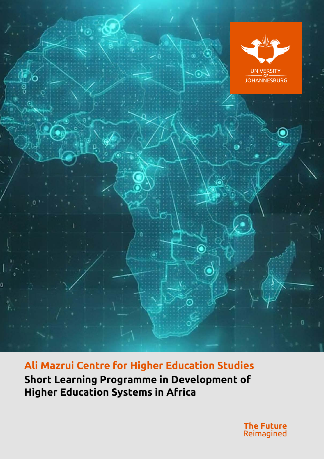

**Ali Mazrui Centre for Higher Education Studies Short Learning Programme in Development of Higher Education Systems in Africa**

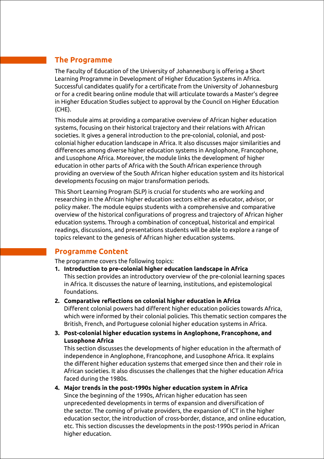# **The Programme**

The Faculty of Education of the University of Johannesburg is offering a Short Learning Programme in Development of Higher Education Systems in Africa. Successful candidates qualify for a certificate from the University of Johannesburg or for a credit bearing online module that will articulate towards a Master's degree in Higher Education Studies subject to approval by the Council on Higher Education (CHE).

This module aims at providing a comparative overview of African higher education systems, focusing on their historical trajectory and their relations with African societies. It gives a general introduction to the pre-colonial, colonial, and postcolonial higher education landscape in Africa. It also discusses major similarities and differences among diverse higher education systems in Anglophone, Francophone, and Lusophone Africa. Moreover, the module links the development of higher education in other parts of Africa with the South African experience through providing an overview of the South African higher education system and its historical developments focusing on major transformation periods.

This Short Learning Program (SLP) is crucial for students who are working and researching in the African higher education sectors either as educator, advisor, or policy maker. The module equips students with a comprehensive and comparative overview of the historical configurations of progress and trajectory of African higher education systems. Through a combination of conceptual, historical and empirical readings, discussions, and presentations students will be able to explore a range of topics relevant to the genesis of African higher education systems.

## **Programme Content**

The programme covers the following topics:

- **1. Introduction to pre-colonial higher education landscape in Africa** This section provides an introductory overview of the pre-colonial learning spaces in Africa. It discusses the nature of learning, institutions, and epistemological foundations.
- **2. Comparative reflections on colonial higher education in Africa** Different colonial powers had different higher education policies towards Africa, which were informed by their colonial policies. This thematic section compares the British, French, and Portuguese colonial higher education systems in Africa.
- **3. Post-colonial higher education systems in Anglophone, Francophone, and Lusophone Africa**

This section discusses the developments of higher education in the aftermath of independence in Anglophone, Francophone, and Lusophone Africa. It explains the different higher education systems that emerged since then and their role in African societies. It also discusses the challenges that the higher education Africa faced during the 1980s.

**4. Major trends in the post-1990s higher education system in Africa** Since the beginning of the 1990s, African higher education has seen unprecedented developments in terms of expansion and diversification of the sector. The coming of private providers, the expansion of ICT in the higher education sector, the introduction of cross-border, distance, and online education, etc. This section discusses the developments in the post-1990s period in African higher education.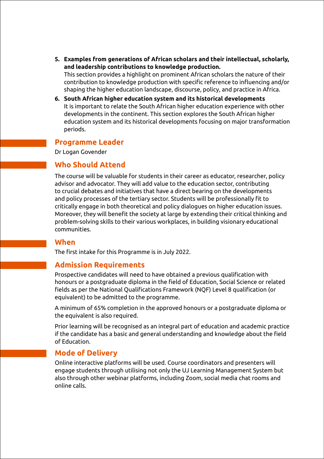- **5. Examples from generations of African scholars and their intellectual, scholarly, and leadership contributions to knowledge production.**  This section provides a highlight on prominent African scholars the nature of their contribution to knowledge production with specific reference to influencing and/or shaping the higher education landscape, discourse, policy, and practice in Africa.
- **6. South African higher education system and its historical developments** It is important to relate the South African higher education experience with other developments in the continent. This section explores the South African higher education system and its historical developments focusing on major transformation periods.

#### **Programme Leader**

Dr Logan Govender

## **Who Should Attend**

The course will be valuable for students in their career as educator, researcher, policy advisor and advocator. They will add value to the education sector, contributing to crucial debates and initiatives that have a direct bearing on the developments and policy processes of the tertiary sector. Students will be professionally fit to critically engage in both theoretical and policy dialogues on higher education issues. Moreover, they will benefit the society at large by extending their critical thinking and problem-solving skills to their various workplaces, in building visionary educational communities.

### **When**

The first intake for this Programme is in July 2022.

## **Admission Requirements**

Prospective candidates will need to have obtained a previous qualification with honours or a postgraduate diploma in the field of Education, Social Science or related fields as per the National Qualifications Framework (NQF) Level 8 qualification (or equivalent) to be admitted to the programme.

A minimum of 65% completion in the approved honours or a postgraduate diploma or the equivalent is also required.

Prior learning will be recognised as an integral part of education and academic practice if the candidate has a basic and general understanding and knowledge about the field of Education.

## **Mode of Delivery**

Online interactive platforms will be used. Course coordinators and presenters will engage students through utilising not only the UJ Learning Management System but also through other webinar platforms, including Zoom, social media chat rooms and online calls.